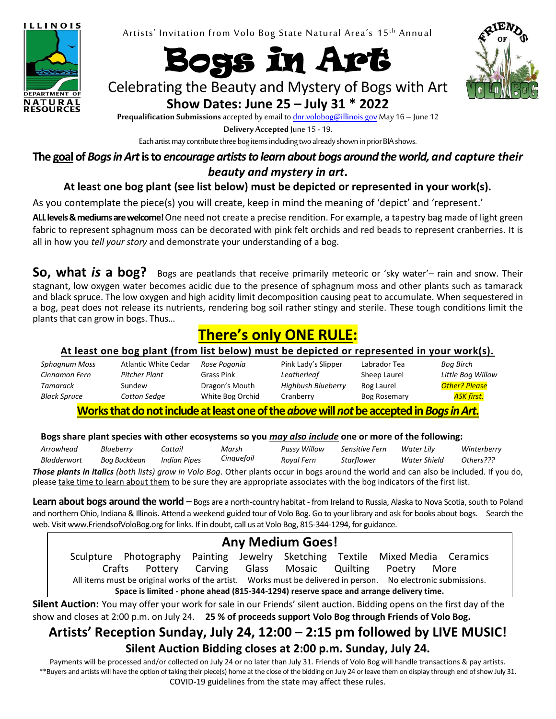

Artists' Invitation from Volo Bog State Natural Area's 15<sup>th</sup> Annual





Celebrating the Beauty and Mystery of Bogs with Art **Show Dates: June 25 – July 31 \* 2022**

**Prequalification Submissions**accepted by email t[o dnr.volobog@illinois.govM](mailto:dnr.volobog@illinois.gov)ay 16 – June 12

**Delivery Accepted** June 15 - 19.

Each artist may contribute three bog items including two already shown in prior BIA shows.

**The goal of** *Bogs in Art* **is to** *encourage artists to learn about bogs around the world, and capture their beauty and mystery in art***.**

### **At least one bog plant (see list below) must be depicted or represented in your work(s).**

As you contemplate the piece(s) you will create, keep in mind the meaning of 'depict' and 'represent.'

**ALLlevels & mediumsare welcome!** One need not create a precise rendition. For example, a tapestry bag made of light green fabric to represent sphagnum moss can be decorated with pink felt orchids and red beads to represent cranberries. It is all in how you *tell your story* and demonstrate your understanding of a bog.

**So, what** *is* **a bog?** Bogs are peatlands that receive primarily meteoric or 'sky water'– rain and snow. Their stagnant, low oxygen water becomes acidic due to the presence of sphagnum moss and other plants such as tamarack and black spruce. The low oxygen and high acidity limit decomposition causing peat to accumulate. When sequestered in a bog, peat does not release its nutrients, rendering bog soil rather stingy and sterile. These tough conditions limit the plants that can grow in bogs. Thus…

# **There's only ONE RULE:**

#### **At least one bog plant (from list below) must be depicted or represented in your work(s).**

| Sphagnum Moss | Atlantic White Cedar | Rose Pogonia     | Pink Lady's Slipper | Labrador Tea        | Bog Birch            |
|---------------|----------------------|------------------|---------------------|---------------------|----------------------|
| Cinnamon Fern | Pitcher Plant        | Grass Pink       | Leatherleaf         | Sheep Laurel        | Little Bog Willow    |
| Tamarack      | Sundew               | Dragon's Mouth   | Highbush Blueberry  | Bog Laurel          | <b>Other? Please</b> |
| Black Spruce  | Cotton Sedge         | White Bog Orchid | Cranberrv           | <b>Bog Rosemary</b> | <b>ASK first.</b>    |
|               |                      |                  |                     |                     |                      |

**Works that do not include at least oneof the** *above***will***not***be accepted in** *Bogs in Art***.**

#### **Bogs share plant species with other ecosystems so you** *may also include* **one or more of the following:**

*Arrowhead Bladderwort Blueberry Bog Buckbean Cattail Indian Pipes Marsh Cinquefoil Pussy Willow Royal Fern Sensitive Fern Starflower Water Lily Water Shield Winterberry Others??? Those plants in italics (both lists) grow in Volo Bog.* Other plants occur in bogs around the world and can also be included. If you do, please take time to learn about them to be sure they are appropriate associates with the bog indicators of the first list.

**Learn about bogs around the world** – Bogs are a north-country habitat - from Ireland to Russia, Alaska to Nova Scotia, south to Poland and northern Ohio, Indiana & Illinois. Attend a weekend guided tour of Volo Bog. Go to your library and ask for books about bogs. Search the web. Visit www.FriendsofVoloBog.org for links. If in doubt, call us at Volo Bog, 815-344-1294, for guidance.

## **Any Medium Goes!**

Sculpture Photography Painting Jewelry Sketching Textile Mixed Media Ceramics Crafts Pottery Carving Glass Mosaic Quilting Poetry More All items must be original works of the artist. Works must be delivered in person. No electronic submissions. **Space is limited - phone ahead (815-344-1294) reserve space and arrange delivery time.**

**Silent Auction:** You may offer your work for sale in our Friends' silent auction. Bidding opens on the first day of the show and closes at 2:00 p.m. on July 24. **25 % of proceeds support Volo Bog through Friends of Volo Bog.**

# **Artists' Reception Sunday, July 24, 12:00 – 2:15 pm followed by LIVE MUSIC!**

#### **Silent Auction Bidding closes at 2:00 p.m. Sunday, July 24.**

Payments will be processed and/or collected on July 24 or no later than July 31. Friends of Volo Bog will handle transactions & pay artists. \*\*Buyers and artists will have the option of taking their piece(s) home at the close of the bidding on July 24 or leave them on display through end of show July 31. COVID-19 guidelines from the state may affect these rules.